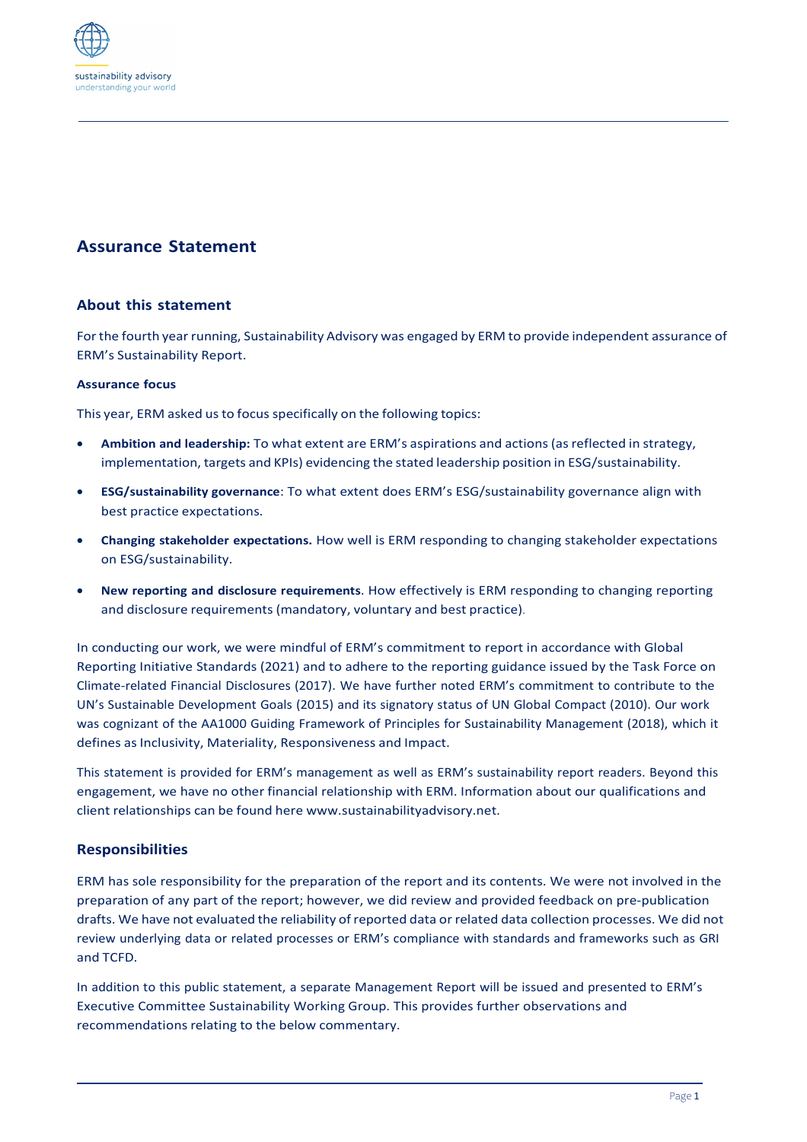

# **Assurance Statement**

## **About this statement**

Forthe fourth year running, Sustainability Advisory was engaged by ERM to provide independent assurance of ERM's Sustainability Report.

### **Assurance focus**

This year, ERM asked us to focus specifically on the following topics:

- **Ambition and leadership:** To what extent are ERM's aspirations and actions(asreflected in strategy, implementation, targets and KPIs) evidencing the stated leadership position in ESG/sustainability.
- **ESG/sustainability governance**: To what extent does ERM's ESG/sustainability governance align with best practice expectations.
- **Changing stakeholder expectations.** How well is ERM responding to changing stakeholder expectations on ESG/sustainability.
- **New reporting and disclosure requirements**. How effectively is ERM responding to changing reporting and disclosure requirements (mandatory, voluntary and best practice).

In conducting our work, we were mindful of ERM's commitment to report in accordance with Global Reporting Initiative Standards (2021) and to adhere to the reporting guidance issued by the Task Force on Climate-related Financial Disclosures (2017). We have further noted ERM's commitment to contribute to the UN's Sustainable Development Goals (2015) and its signatory status of UN Global Compact (2010). Our work was cognizant of the AA1000 Guiding Framework of Principles for Sustainability Management (2018), which it defines as Inclusivity, Materiality, Responsiveness and Impact.

This statement is provided for ERM's management as well as ERM's sustainability report readers. Beyond this engagement, we have no other financial relationship with ERM. Information about our qualifications and client relationships can be found here [www.sustainabilityadvisory.net.](http://www.sustainabilityadvisory.net/)

## **Responsibilities**

ERM has sole responsibility for the preparation of the report and its contents. We were not involved in the preparation of any part of the report; however, we did review and provided feedback on pre-publication drafts. We have not evaluated the reliability of reported data or related data collection processes. We did not review underlying data or related processes or ERM's compliance with standards and frameworks such as GRI and TCFD.

In addition to this public statement, a separate Management Report will be issued and presented to ERM's Executive Committee Sustainability Working Group. This provides further observations and recommendations relating to the below commentary.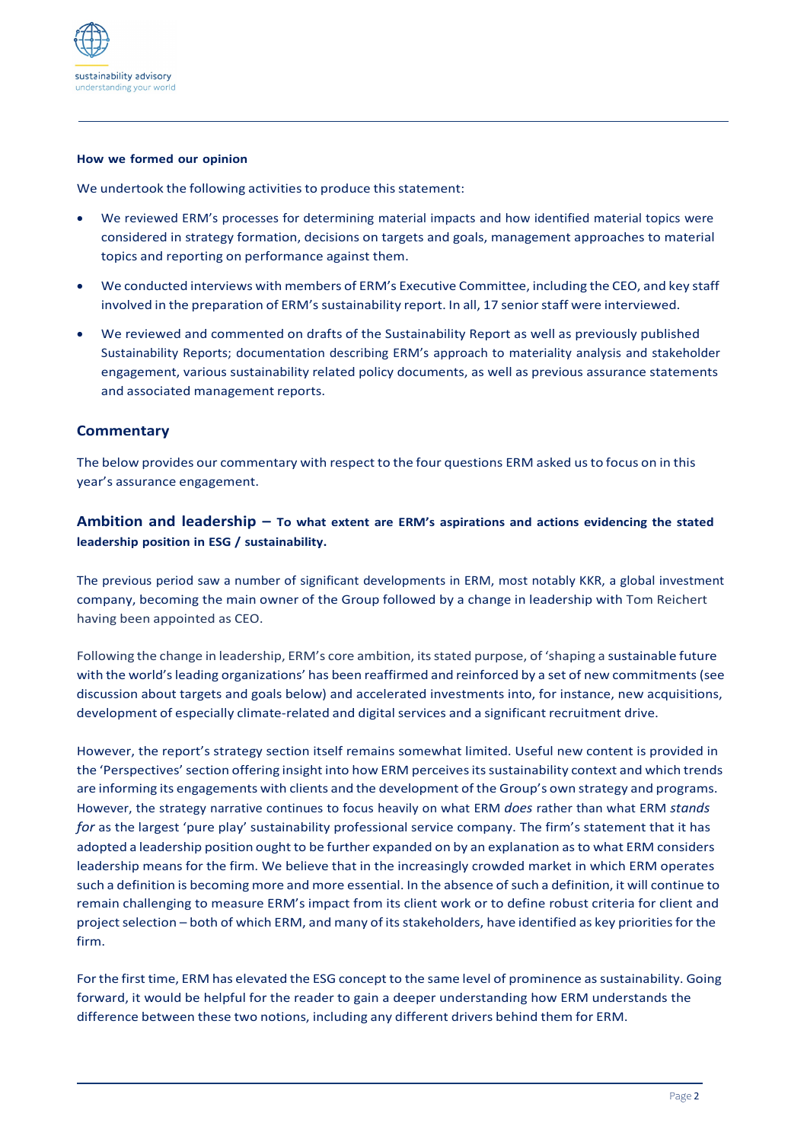

#### **How we formed our opinion**

We undertook the following activities to produce this statement:

- We reviewed ERM's processes for determining material impacts and how identified material topics were considered in strategy formation, decisions on targets and goals, management approaches to material topics and reporting on performance against them.
- We conducted interviews with members of ERM's Executive Committee, including the CEO, and key staff involved in the preparation of ERM's sustainability report. In all, 17 senior staff were interviewed.
- We reviewed and commented on drafts of the Sustainability Report as well as previously published Sustainability Reports; documentation describing ERM's approach to materiality analysis and stakeholder engagement, various sustainability related policy documents, as well as previous assurance statements and associated management reports.

## **Commentary**

The below provides our commentary with respect to the four questions ERM asked usto focus on in this year's assurance engagement.

## **Ambition and leadership – To what extent are ERM's aspirations and actions evidencing the stated leadership position in ESG / sustainability.**

The previous period saw a number of significant developments in ERM, most notably KKR, a global investment company, becoming the main owner of the Group followed by a change in leadership with Tom Reichert having been appointed as CEO.

Following the change in leadership, ERM's core ambition, itsstated purpose, of 'shaping a sustainable future with the world's leading organizations' has been reaffirmed and reinforced by a set of new commitments (see discussion about targets and goals below) and accelerated investments into, for instance, new acquisitions, development of especially climate-related and digital services and a significant recruitment drive.

However, the report's strategy section itself remains somewhat limited. Useful new content is provided in the 'Perspectives' section offering insight into how ERM perceives its sustainability context and which trends are informing its engagements with clients and the development of the Group's own strategy and programs. However, the strategy narrative continues to focus heavily on what ERM *does* rather than what ERM *stands for* as the largest 'pure play' sustainability professional service company. The firm's statement that it has adopted a leadership position ought to be further expanded on by an explanation asto what ERM considers leadership means for the firm. We believe that in the increasingly crowded market in which ERM operates such a definition is becoming more and more essential. In the absence of such a definition, it will continue to remain challenging to measure ERM's impact from its client work or to define robust criteria for client and project selection – both of which ERM, and many of its stakeholders, have identified as key priorities for the firm.

For the first time, ERM has elevated the ESG concept to the same level of prominence as sustainability. Going forward, it would be helpful for the reader to gain a deeper understanding how ERM understands the difference between these two notions, including any different drivers behind them for ERM.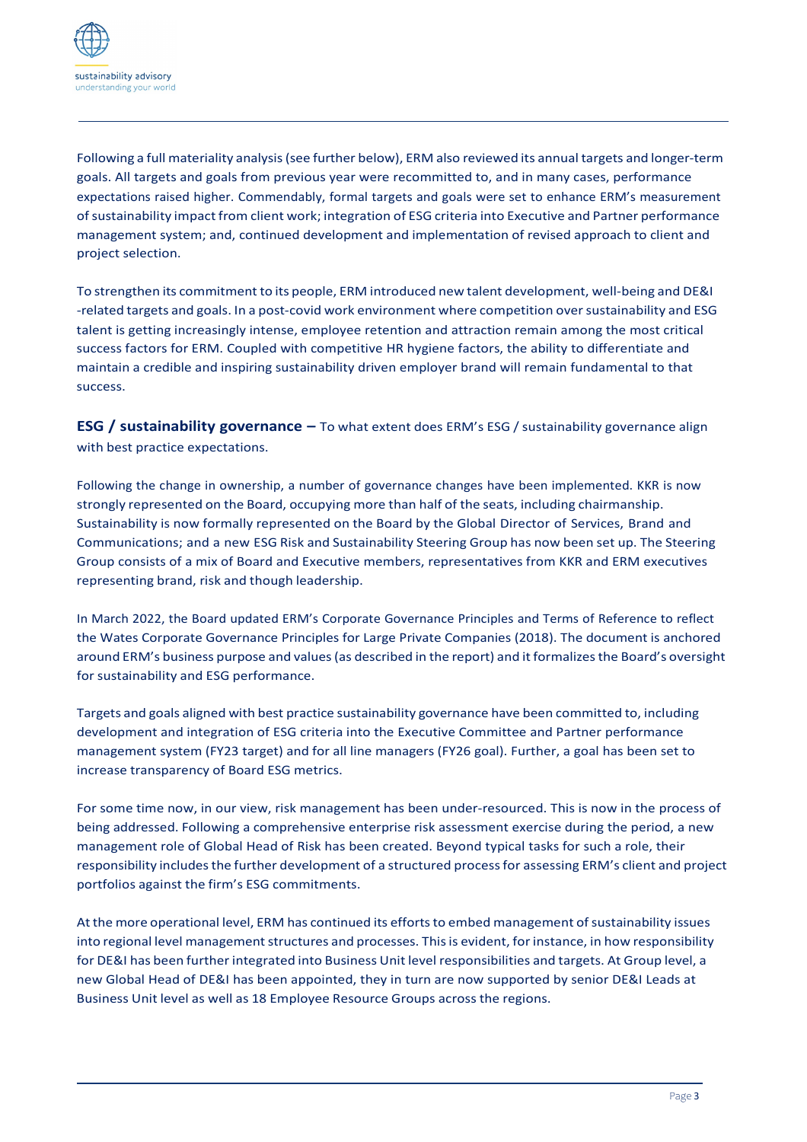

Following a full materiality analysis(see further below), ERM also reviewed its annual targets and longer-term goals. All targets and goals from previous year were recommitted to, and in many cases, performance expectations raised higher. Commendably, formal targets and goals were set to enhance ERM's measurement ofsustainability impact from client work; integration of ESG criteria into Executive and Partner performance management system; and, continued development and implementation of revised approach to client and project selection.

To strengthen its commitment to its people, ERM introduced new talent development, well-being and DE&I -related targets and goals. In a post-covid work environment where competition oversustainability and ESG talent is getting increasingly intense, employee retention and attraction remain among the most critical success factors for ERM. Coupled with competitive HR hygiene factors, the ability to differentiate and maintain a credible and inspiring sustainability driven employer brand will remain fundamental to that success.

**ESG / sustainability governance –** To what extent does ERM's ESG / sustainability governance align with best practice expectations.

Following the change in ownership, a number of governance changes have been implemented. KKR is now strongly represented on the Board, occupying more than half of the seats, including chairmanship. Sustainability is now formally represented on the Board by the Global Director of Services, Brand and Communications; and a new ESG Risk and Sustainability Steering Group has now been set up. The Steering Group consists of a mix of Board and Executive members, representatives from KKR and ERM executives representing brand, risk and though leadership.

In March 2022, the Board updated ERM's Corporate Governance Principles and Terms of Reference to reflect the Wates Corporate Governance Principles for Large Private Companies (2018). The document is anchored around ERM's business purpose and values (as described in the report) and it formalizes the Board's oversight for sustainability and ESG performance.

Targets and goals aligned with best practice sustainability governance have been committed to, including development and integration of ESG criteria into the Executive Committee and Partner performance management system (FY23 target) and for all line managers (FY26 goal). Further, a goal has been set to increase transparency of Board ESG metrics.

For some time now, in our view, risk management has been under-resourced. This is now in the process of being addressed. Following a comprehensive enterprise risk assessment exercise during the period, a new management role of Global Head of Risk has been created. Beyond typical tasks for such a role, their responsibility includesthe further development of a structured processfor assessing ERM's client and project portfolios against the firm's ESG commitments.

At the more operational level, ERM has continued its efforts to embed management of sustainability issues into regional level management structures and processes. This is evident, for instance, in how responsibility for DE&I has been further integrated into Business Unit level responsibilities and targets. At Group level, a new Global Head of DE&I has been appointed, they in turn are now supported by senior DE&I Leads at Business Unit level as well as 18 Employee Resource Groups across the regions.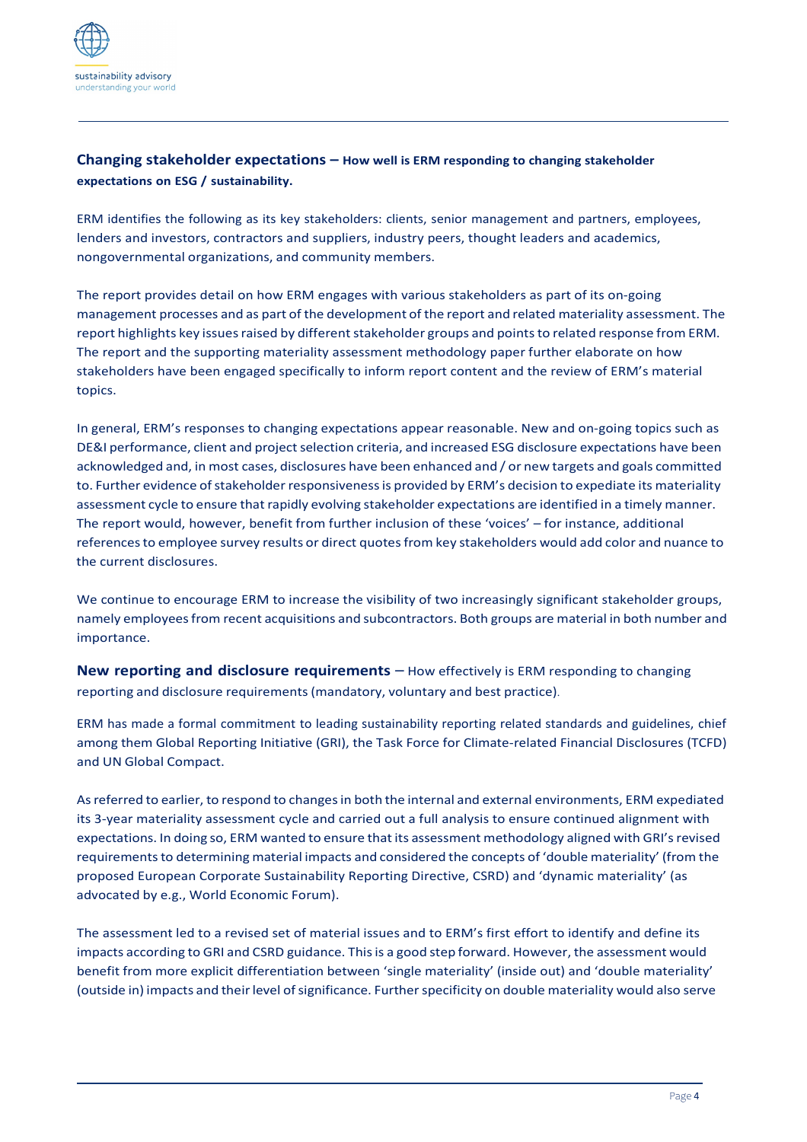

# **Changing stakeholder expectations – How well is ERM responding to changing stakeholder expectations on ESG / sustainability.**

ERM identifies the following as its key stakeholders: clients, senior management and partners, employees, lenders and investors, contractors and suppliers, industry peers, thought leaders and academics, nongovernmental organizations, and community members.

The report provides detail on how ERM engages with various stakeholders as part of its on-going management processes and as part of the development of the report and related materiality assessment. The report highlights key issues raised by different stakeholder groups and points to related response from ERM. The report and the supporting materiality assessment methodology paper further elaborate on how stakeholders have been engaged specifically to inform report content and the review of ERM's material topics.

In general, ERM's responses to changing expectations appear reasonable. New and on-going topics such as DE&I performance, client and project selection criteria, and increased ESG disclosure expectations have been acknowledged and, in most cases, disclosures have been enhanced and / or new targets and goals committed to. Further evidence ofstakeholder responsivenessis provided by ERM's decision to expediate its materiality assessment cycle to ensure that rapidly evolving stakeholder expectations are identified in a timely manner. The report would, however, benefit from further inclusion of these 'voices' – for instance, additional referencesto employee survey results or direct quotesfrom key stakeholders would add color and nuance to the current disclosures.

We continue to encourage ERM to increase the visibility of two increasingly significant stakeholder groups, namely employeesfrom recent acquisitions and subcontractors. Both groups are material in both number and importance.

**New reporting and disclosure requirements** – How effectively is ERM responding to changing reporting and disclosure requirements(mandatory, voluntary and best practice).

ERM has made a formal commitment to leading sustainability reporting related standards and guidelines, chief among them Global Reporting Initiative (GRI), the Task Force for Climate-related Financial Disclosures (TCFD) and UN Global Compact.

As referred to earlier, to respond to changes in both the internal and external environments, ERM expediated its 3-year materiality assessment cycle and carried out a full analysis to ensure continued alignment with expectations. In doing so, ERM wanted to ensure that its assessment methodology aligned with GRI's revised requirements to determining material impacts and considered the concepts of 'double materiality' (from the proposed European Corporate Sustainability Reporting Directive, CSRD) and 'dynamic materiality' (as advocated by e.g., World Economic Forum).

The assessment led to a revised set of material issues and to ERM's first effort to identify and define its impacts according to GRI and CSRD guidance. Thisis a good step forward. However, the assessment would benefit from more explicit differentiation between 'single materiality' (inside out) and 'double materiality' (outside in) impacts and their level of significance. Further specificity on double materiality would also serve